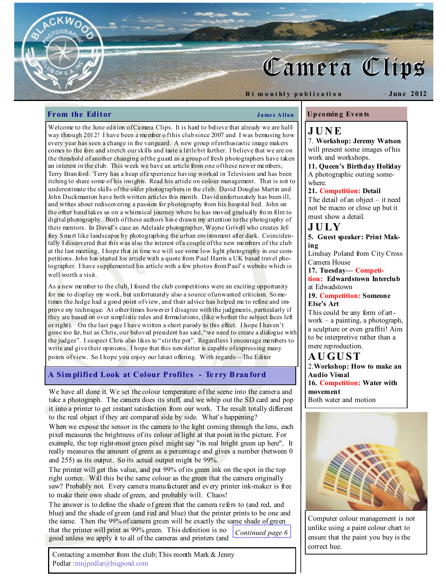# Camera Clips

B i m o n thly publication

Jun e 2012

# From the Editor James Allan

Welcome to the June edition of Camera Clips. It is hard to believe that already we are halfway through 2012! I have been a member o fthis club since 2007 and I was bemusing how every year has seen a change in the vanguard. A new group of enthusiastic image makers comes to the fore and stretch our skills and taste a little bit further. I believe that we are on the threshold of another changing of the guard as a group of fresh photographers have taken an interest in the club. This week we have an article from one of these newer members, Terry Bran ford. Terry has a heap of experience having worked in Television and has been itching to share some of his insights. Read his article on colour management. That is not to underestimate the skills of the older photographers in the club. David Douglas Martin and John Duckmanton have both written articles this month. David unfortunately has been ill, and writes about rediscovering a passion for photography from his hospital bed. John on the other hand takes us on a whimsical journey where he has moved gradually fro m film to digital photography. Both of these authors have drawn my attention to the photography of their mentors. In David's case an Adelaide photographer, Wayne Grivell who creates Jeffrey Smart like landscapes by photographing the urban environment after dark. Coincidentally I discovered that this was also the interest of a couple of the new members of the club at the last meeting. I hope that in time we will see some low light photography in our competitions. John has started his article with a quote from Paul Harris a UK based travel photographer. I have supplemented his article with a few photos from Paul's website which is well worth a visit.

As a new member to the club, I found the club competitions were an exciting opportunity for me to display my work, but unfortunately also a source of unwanted criticism. So metimes the Judge had a good point of view, and their advice has helped me to refine and improve my technique. At other times however I disagree with the judgments, particularly if they are based on over simplistic rules and formulations, (like whether the subject faces left or right). On the last page I have written a short parody to this effect. I hope I haven't gone too far, but as Chris, our beloved president has said, "we need to create a dialogue with the judges". I suspect Chris also likes to "stir the pot". Regardless I encourage members to write and give their opinions. I hope that this newsletter is capable of expressing many points of view. So I hope you enjoy our latest offering. With regards—The Editor

# A Sim plified Look at Colour Profiles - Te rry B ran ford

We have all done it. We set the colour temperature of the scene into the camera and take a photograph. The camera does its stuff, and we whip out the SD card and pop it into a printer to get instant satisfaction from our work. The result totally different to the real object if they are compared side by side. What's happening?

When we expose the sensor in the camera to the light coming through the lens, each pixel measures the brightness of its colour of light at that point in the picture. For example, the top right-most green pixel might say "its real bright green up here". It really measures the amount of green as a percentage and gives a number (between 0 and 255) as its output. So its actual output might be 99%.

The printer will get this value, and put 99% of its green ink on the spot in the top right corner. Will this be the same colour as the green that the camera originally saw? Probably not. Every camera manufacturer and every printer ink-maker is free to make their own shade of green, and probably will. Chaos!

The answer is to define the shade of green that the camera refers to (and red, and blue) and the shade of green (and red and blue) that the printer prints to be one and the same. Then the 99% of camera green will be exactly the same shade of green that the printer will print as 99% green. This definition is no good unless we apply it to all of the cameras and printers (and  $\frac{1}{2}$ Continued page 6 $\frac{1}{2}$ 

Contacting a member from the club; This month Mark & Jenny Pedlar :mnjpedlar@biqpond.com

# Up comin g Even ts

# J U N E

7. Workshop: Jeremy Watson will present some images of his work and workshops.

11. Queen's Birthday Holiday A photographic outing somewhere.

### 21. Competition: Detail

The detail of an object – it need not be macro or close up but it must show a detail.

J U LY 5. Guest speaker: Print Making

Lindsay Poland from City Cross Camera House

17. Tuesday— Competi-

tion: Edwardstown Interclub at Edwadstown

19. Competition: Someone Else's Art

This could be any form of artwork – a painting, a photograph, a sculpture or even graffiti! Aim to be interpretive rather than a mere reproduction.

# A U GU ST

2.Workshop: How to make an Audio Visual 16. Competition: Water with movement Both water and motion



Computer colour management is not unlike using a paint colour chart to ensure that the paint you buy is the correct hue.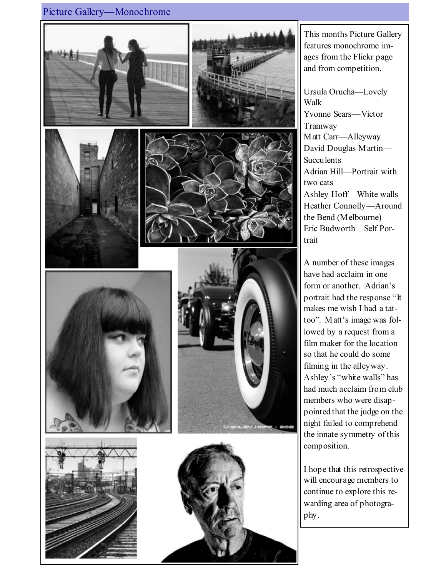# Picture Gallery—Monochrome















This months Picture Gallery features monochrome images from the Flickr page and from competition.

Ursula Orucha—Lovely Walk Yvonne Sears—Victor Tramway Matt Carr—Alleyway David Douglas Martin— Succulents Adrian Hill—Portrait with two cats Ashley Hoff—White walls Heather Connolly—Around the Bend (Melbourne) Eric Budworth—Self Portrait

A number of these images have had acclaim in one form or another. Adrian's portrait had the response "It makes me wish I had a tattoo". Matt's image was followed by a request from a film maker for the location so that he could do some filming in the alleyway. Ashley's "white walls" has had much acclaim from club members who were disappointed that the judge on the night failed to comprehend the innate symmetry of this composition.

I hope that this retrospective will encourage members to continue to explore this rewarding area of photography.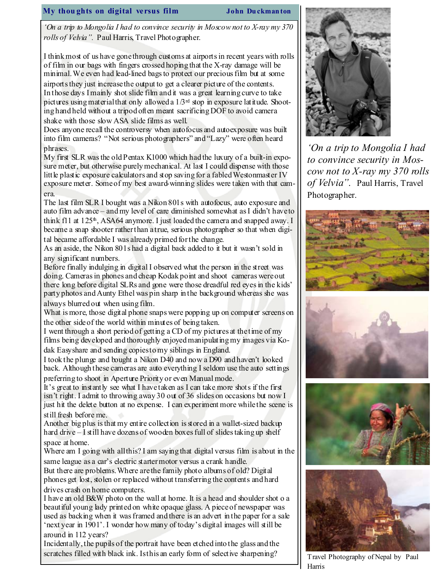## My thou ghts on digital versus film John Du ckman ton

'On a trip to Mongolia I had to convince security in Moscow not to X-ray my 370 rolls of Velvia". Paul Harris, Travel Photographer.

I think most of us have gone through customs at airports in recent years with rolls of film in our bags with fingers crossed hoping that the X-ray damage will be minimal. We even had lead-lined bags to protect our precious film but at some airports they just increase the output to get a clearer picture of the contents. In those days I mainly shot slide film and it was a great learning curve to take pictures using material that only allowed a  $1/3<sup>rd</sup>$  stop in exposure latitude. Shooting hand held without a tripod often meant sacrificing DOF to avoid camera

shake with those slow ASA slide films as well.

Does anyone recall the controversy when autofocus and autoexposure was built into film cameras? "Not serious photographers" and "Lazy" were often heard phrases.

My first SLR was the old Pentax K1000 which had the luxury of a built-in exposure meter, but otherwise purely mechanical. At last I could dispense with those little plastic exposure calculators and stop saving for a fabled Westonmaster IV exposure meter. Some of my best award-winning slides were taken with that camera.

The last film SLR I bought was a Nikon 801s with autofocus, auto exposure and auto film advance – and my level of care diminished somewhat as I didn't have to think  $f11$  at  $125<sup>th</sup>$ , ASA64 anymore. I just loaded the camera and snapped away. I became a snap shooter rather than a true, serious photographer so that when digi-

tal became affordable I was already primed for the change.

As an aside, the Nikon 801s had a digital back added to it but it wasn't sold in any significant numbers.

Before finally indulging in digital I observed what the person in the street was doing. Cameras in phones and cheap Kodak point and shoot cameras were out there long before digital SLRs and gone were those dreadful red eyes in the kids' party photos and Aunty Ethel was pin sharp in the background whereas she was always blurred out when using film.

What is more, those digital phone snaps were popping up on computer screens on the other side of the world within minutes of being taken.

I went through a short period of getting a CD of my pictures at the time of my films being developed and thoroughly enjoyed manipulating my images via Kodak Easyshare and sending copies to my siblings in England.

I took the plunge and bought a Nikon D40 and now a D90 and haven't looked back. Although these cameras are auto everything I seldom use the auto settings preferring to shoot in Aperture Priority or even Manual mode.

It's great to instantly see what I have taken as I can take more shots if the first isn't right. I admit to throwing away 30 out of 36 slides on occasions but now I just hit the delete button at no expense. I can experiment more while the scene is still fresh before me.

Another big plus is that my entire collection is stored in a wallet-sized backup hard drive – I still have dozens of wooden boxes full of slides taking up shelf space at home.

Where am I going with all this? I am saying that digital versus film is about in the same league as a car's electric starter motor versus a crank handle.

But there are problems. Where are the family photo albums of old? Digital phones get lost, stolen or replaced without transferring the contents and hard drives crash on home computers.

I have an old B&W photo on the wall at home. It is a head and shoulder shot o a beautiful young lady printed on white opaque glass. A piece of newspaper was used as backing when it was framed and there is an advert in the paper for a sale 'next year in 1901'. I wonder how many of today's digital images will still be around in 112 years?

Incidentally, the pupils of the portrait have been etched into the glass and the scratches filled with black ink. Is this an early form of selective sharpening?



'On a trip to Mongolia I had to convince security in Moscow not to  $X$ -ray my 370 rolls of Velvia". Paul Harris, Travel Photographer.







Travel Photography of Nepal by Paul Harris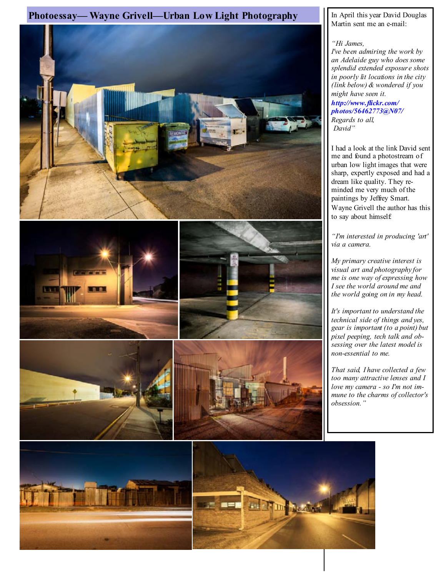# Photoessay— Wayne Grivell—Urban Low Light Photography In April this year David Douglas



Martin sent me an e-mail:

"Hi James,

I've been admiring the work by an Adelaide guy who does some splendid extended exposure shots in poorly lit locations in the city (link below) & wondered if you might have seen it.

http://www.flickr.com/ photos/56462773@N07/ Regards to all, David"

I had a look at the link David sent me and found a photostream of urban low light images that were sharp, expertly exposed and had a dream like quality. They reminded me very much of the paintings by Jeffrey Smart. Wayne Grivell the author has this to say about himself:

"I'm interested in producing 'art' via a camera.

My primary creative interest is visual art and photography for me is one way of expressing how I see the world around me and the world going on in my head.

It's important to understand the technical side of things and yes, gear is important (to a point) but pixel peeping, tech talk and obsessing over the latest model is non-essential to me.

That said, I have collected a few too many attractive lenses and I love my camera - so I'm not immune to the charms of collector's obsession."

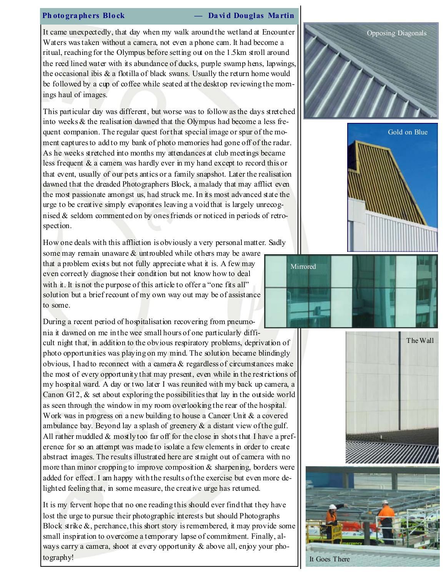#### Ph oto graphers Block — David Douglas Martin

It came unexpectedly, that day when my walk around the wetland at Encounter Waters was taken without a camera, not even a phone cam. It had become a ritual, reaching for the Olympus before setting out on the 1.5km stroll around the reed lined water with its abundance of ducks, purple swamp hens, lapwings, the occasional ibis  $\&$  a flotilla of black swans. Usually the return home would be followed by a cup of coffee while seated at the desktop reviewing the mornings haul of images.

This particular day was different, but worse was to follow as the days stretched into weeks & the realisation dawned that the Olympus had become a less frequent companion. The regular quest for that special image or spur of the moment captures to add to my bank of photo memories had gone off of the radar. As he weeks stretched into months my attendances at club meetings became less frequent & a camera was hardly ever in my hand except to record this or that event, usually of our pets antics or a family snapshot. Later the realisation dawned that the dreaded Photographers Block, a malady that may afflict even the most passionate amongst us, had struck me. In its most advanced state the urge to be creative simply evaporates leaving a void that is largely unrecognised & seldom commented on by ones friends or noticed in periods of retrospection.

How one deals with this affliction is obviously a very personal matter. Sadly

some may remain unaware  $\&$  untroubled while others may be aware that a problem exists but not fully appreciate what it is. A few may even correctly diagnose their condition but not know how to deal with it. It is not the purpose of this article to offer a "one fits all" solution but a brief recount of my own way out may be of assistance to some.

During a recent period of hospitalisation recovering from pneumonia it dawned on me in the wee small hours of one particularly diffi-

cult night that, in addition to the obvious respiratory problems, deprivation of photo opportunities was playing on my mind. The solution became blindingly obvious, I had to reconnect with a camera & regardless of circumstances make the most of every opportunity that may present, even while in the restrictions of my hospital ward. A day or two later I was reunited with my back up camera, a Canon G12, & set about exploring the possibilities that lay in the outside world as seen through the window in my room overlooking the rear of the hospital. Work was in progress on a new building to house a Cancer Unit & a covered ambulance bay. Beyond lay a splash of greenery  $\&$  a distant view of the gulf. All rather muddled  $&$  mostly too far off for the close in shots that I have a preference for so an attempt was made to isolate a few elements in order to create abstract images. The results illustrated here are straight out of camera with no more than minor cropping to improve composition & sharpening, borders were added for effect. I am happy with the results of the exercise but even more delighted feeling that, in some measure, the creative urge has returned.

It is my fervent hope that no one reading this should ever find that they have lost the urge to pursue their photographic interests but should Photographs Block strike  $\&$ , perchance, this short story is remembered, it may provide some small inspiration to overcome a temporary lapse of commitment. Finally, always carry a camera, shoot at every opportunity & above all, enjoy your photography!









It Goes There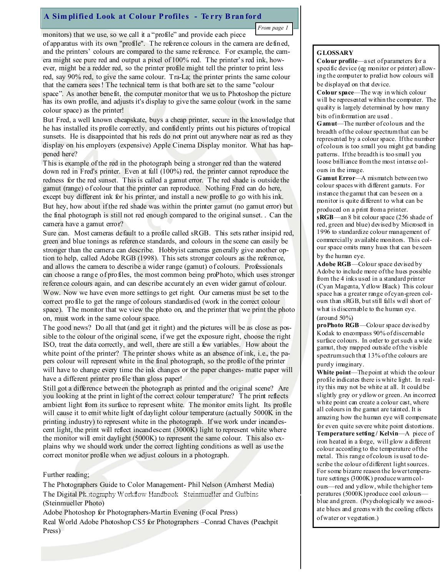# A Sim plified Look at Colour Profiles - Te rry B ran ford

From page 1

monitors) that we use, so we call it a "profile" and provide each piece of apparatus with its own "profile". The reference colours in the camera are defined, and the printers' colours are compared to the same reference. For example, the camera might see pure red and output a pixel of 100% red. The printer's red ink, however, might be a redder red, so the printer profile might tell the printer to print less red, say 90% red, to give the same colour. Tra-La; the printer prints the same colour that the camera sees! The technical term is that both are set to the same "colour space". As another benefit, the computer monitor that we us to Photoshop the picture has its own profile, and adjusts it's display to give the same colour (work in the same colour space) as the printer!

But Fred, a well known cheapskate, buys a cheap printer, secure in the knowledge that he has installed its profile correctly, and confidently prints out his pictures of tropical sunsets. He is disappointed that his reds do not print out anywhere near as red as they display on his employers (expensive) Apple Cinema Display monitor. What has happened here?

This is example of the red in the photograph being a stronger red than the watered down red in Fred's printer. Even at full (100%) red, the printer cannot reproduce the redness for the red sunset. This is called a gamut error. The red shade is outside the gamut (range) of colour that the printer can reproduce. Nothing Fred can do here, except buy different ink for his printer, and install a new profile to go with his ink.

But hey, how about if the red shade was within the printer gamut (no gamut error) but the final photograph is still not red enough compared to the original sunset. . Can the camera have a gamut error?

Sure can. Most cameras default to a profile called sRGB. This sets rather insipid red, green and blue tonings as reference standards, and colours in the scene can easily be stronger than the camera can describe. Hobbyist cameras generally give another option to help, called Adobe RGB (1998). This sets stronger colours as the reference, and allows the camera to describe a wider range (gamut) of colours. Professionals can choose a range of profiles, the most common being proPhoto, which uses stronger reference colours again, and can describe accurately an even wider gamut of colour. Wow. Now we have even more settings to get right. Our cameras must be set to the correct profile to get the range of colours standardised (work in the correct colour space). The monitor that we view the photo on, and the printer that we print the photo on, must work in the same colour space.

The good news? Do all that (and get it right) and the pictures will be as close as possible to the colour of the original scene, if we get the exposure right, choose the right ISO, treat the data correctly, and well, there are still a few variables. How about the white point of the printer? The printer shows white as an absence of ink, i.e., the papers colour will represent white in the final photograph, so the profile of the printer will have to change every time the ink changes or the paper changes- matte paper will have a different printer profile than gloss paper!

Still got a difference between the photograph as printed and the original scene? Are you looking at the print in light of the correct colour temperature? The print reflects ambient light from its surface to represent white. The monitor emits light. Its profile will cause it to emit white light of daylight colour temperature (actually 5000K in the printing industry) to represent white in the photograph. If we work under incandescent light, the print will reflect incandescent (3000K) light to represent white where the monitor will emit daylight (5000K) to represent the same colour. This also explains why we should work under the correct lighting conditions as well as use the correct monitor profile when we adjust colours in a photograph.

#### Further reading;

The Photographers Guide to Color Management- Phil Nelson (Amherst Media) The Digital Photography Workflow Handbook Steinmueller and Gulbins (Steinmueller Photo)

Adobe Photoshop for Photographers-Martin Evening (Focal Press) Real World Adobe Photoshop CS5 for Photographers –Conrad Chaves (Peachpit Press)

### **GLOSSARY**

Colour profile—a set of parameters for a specific device (eg monitor or printer) allowing the computer to predict how colours will be displayed on that device.

Colour space—The way in which colour will be represented within the computer. The quality is largely determined by how many bits of information are used .

Gamut—The number of colours and the breadth of the colour spectrum that can be represented by a colour space. If the number of colours is too small you might get banding patterns. If the breadth is too small you loose brilliance from the most intense colours in the image.

Gamut Error—A mismatch between two colour spaces with different gamuts. For instance the gamut that can be seen on a monitor is quite different to what can be produced on a print from a printer.

sRGB—an 8 bit colour space (256 shade of red, green and blue) devised by Microsoft in 1996 to standardize colour management of commercially available monitors. This colour space omits many hues that can be seen by the human eye.

Adobe RGB—Colour space devised by Adobe to include more of the hues possible from the 4 inks used in a standard printer (Cyan Magenta, Yellow Black) This colour space has a greater range of cyan-green colours than sRGB, but still falls well short of what is discernable to the human eye. (around 50%)

proPhoto RGB—Colour space devised by Kodak to encompass 90% of discernable surface colours. In order to get such a wide gamut, they mapped outside of the visible spectrum such that 13% of the colours are purely imaginary.

White point—The point at which the colour profile indicates there is white light. In reality this may not be white at all. It could be slightly grey or yellow or green. An incorrect white point can create a colour cast, where all colours in the gamut are tainted. It is amazing how the human eye will compensate for even quite severe white point distortions.

Temperature setting / Kelvin—A piece of iron heated in a forge, will glow a different colour according to the temperature of the metal. This range of colours is used to describe the colour of different light sources. For some bizarre reason the lower temperature settings (3000K) produce warm colours—red and yellow, while the higher temperatures (5000K) produce cool colours blue and green. (Psychologically we associate blues and greens with the cooling effects of water or vegetation.)